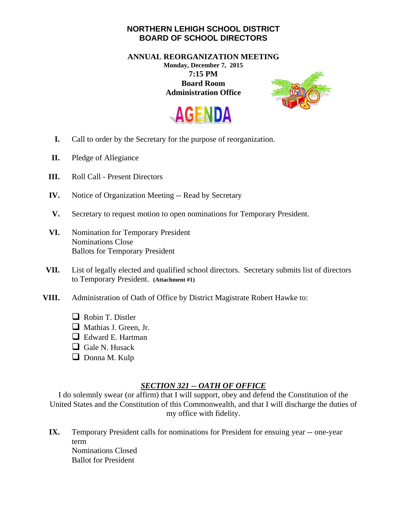## **NORTHERN LEHIGH SCHOOL DISTRICT BOARD OF SCHOOL DIRECTORS**

**ANNUAL REORGANIZATION MEETING Monday, December 7, 2015 7:15 PM Board Room Administration Office** 





- **I.** Call to order by the Secretary for the purpose of reorganization.
- **II.** Pledge of Allegiance
- **III.** Roll Call Present Directors
- **IV.** Notice of Organization Meeting -- Read by Secretary
- **V.** Secretary to request motion to open nominations for Temporary President.
- **VI.** Nomination for Temporary President Nominations Close Ballots for Temporary President
- **VII.** List of legally elected and qualified school directors. Secretary submits list of directors to Temporary President. **(Attachment #1)**
- **VIII.** Administration of Oath of Office by District Magistrate Robert Hawke to:
	- Robin T. Distler
	- Mathias J. Green, Jr.
	- □ Edward E. Hartman
	- Gale N. Husack
	- Donna M. Kulp

## *SECTION 321 -- OATH OF OFFICE*

I do solemnly swear (or affirm) that I will support, obey and defend the Constitution of the United States and the Constitution of this Commonwealth, and that I will discharge the duties of my office with fidelity.

**IX.** Temporary President calls for nominations for President for ensuing year -- one-year term Nominations Closed Ballot for President